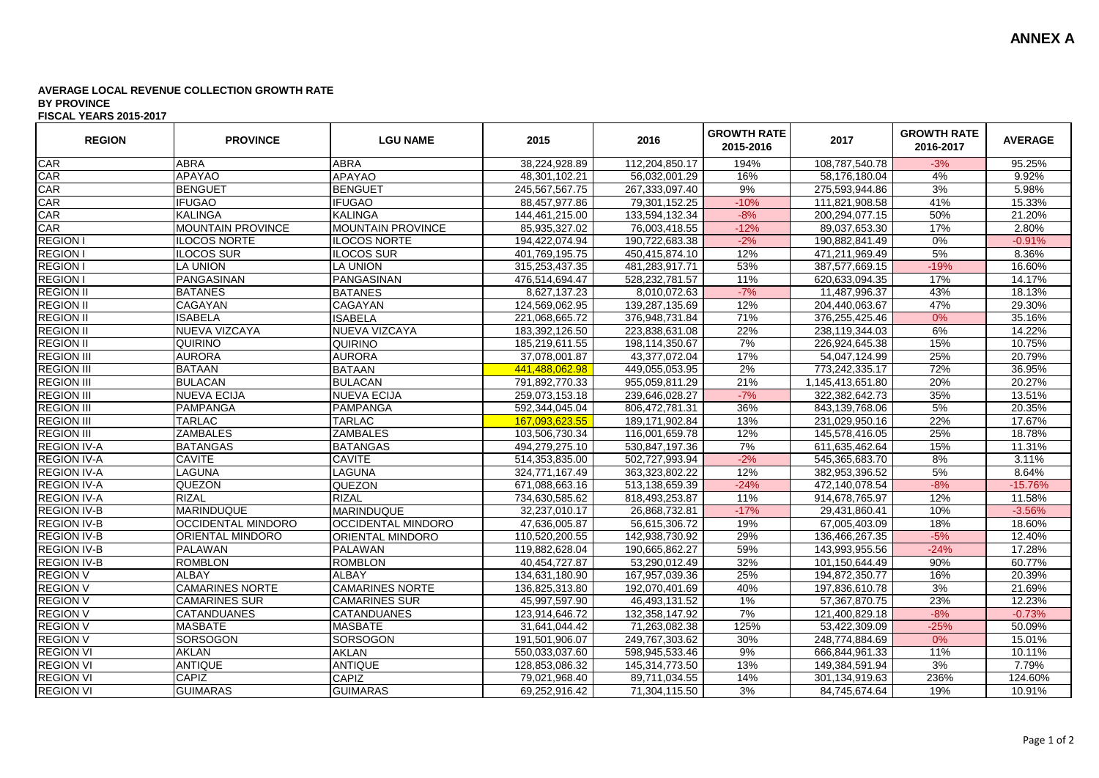## **AVERAGE LOCAL REVENUE COLLECTION GROWTH RATE BY PROVINCE FISCAL YEARS 2015-2017**

| <b>REGION</b>      | <b>PROVINCE</b>           | <b>LGU NAME</b>           | 2015           | 2016             | <b>GROWTH RATE</b><br>2015-2016 | 2017              | <b>GROWTH RATE</b><br>2016-2017 | <b>AVERAGE</b> |
|--------------------|---------------------------|---------------------------|----------------|------------------|---------------------------------|-------------------|---------------------------------|----------------|
| CAR                | <b>ABRA</b>               | <b>ABRA</b>               | 38,224,928.89  | 112,204,850.17   | 194%                            | 108,787,540.78    | $-3%$                           | 95.25%         |
| CAR                | <b>APAYAO</b>             | <b>APAYAO</b>             | 48,301,102.21  | 56,032,001.29    | 16%                             | 58,176,180.04     | 4%                              | 9.92%          |
| CAR                | <b>BENGUET</b>            | <b>BENGUET</b>            | 245,567,567.75 | 267,333,097.40   | 9%                              | 275,593,944.86    | 3%                              | 5.98%          |
| CAR                | <b>IFUGAO</b>             | <b>IFUGAO</b>             | 88,457,977.86  | 79,301,152.25    | $-10%$                          | 111,821,908.58    | 41%                             | 15.33%         |
| CAR                | <b>KALINGA</b>            | <b>KALINGA</b>            | 144,461,215.00 | 133,594,132.34   | $-8%$                           | 200,294,077.15    | 50%                             | 21.20%         |
| CAR                | <b>MOUNTAIN PROVINCE</b>  | MOUNTAIN PROVINCE         | 85,935,327.02  | 76,003,418.55    | $-12%$                          | 89,037,653.30     | 17%                             | 2.80%          |
| <b>REGION</b>      | <b>ILOCOS NORTE</b>       | <b>ILOCOS NORTE</b>       | 194,422,074.94 | 190,722,683.38   | $-2%$                           | 190,882,841.49    | 0%                              | $-0.91%$       |
| <b>REGION</b>      | ILOCOS SUR                | <b>ILOCOS SUR</b>         | 401,769,195.75 | 450,415,874.10   | 12%                             | 471,211,969.49    | 5%                              | 8.36%          |
| <b>REGION I</b>    | <b>LA UNION</b>           | LA UNION                  | 315,253,437.35 | 481,283,917.71   | 53%                             | 387,577,669.15    | $-19%$                          | 16.60%         |
| <b>REGION I</b>    | PANGASINAN                | PANGASINAN                | 476,514,694.47 | 528,232,781.57   | 11%                             | 620,633,094.35    | 17%                             | 14.17%         |
| <b>REGION II</b>   | <b>BATANES</b>            | <b>BATANES</b>            | 8,627,137.23   | 8,010,072.63     | $-7%$                           | 11,487,996.37     | 43%                             | 18.13%         |
| <b>REGION II</b>   | <b>CAGAYAN</b>            | CAGAYAN                   | 124,569,062.95 | 139,287,135.69   | 12%                             | 204,440,063.67    | 47%                             | 29.30%         |
| <b>REGION II</b>   | <b>ISABELA</b>            | <b>ISABELA</b>            | 221,068,665.72 | 376,948,731.84   | 71%                             | 376,255,425.46    | 0%                              | 35.16%         |
| <b>REGION II</b>   | NUEVA VIZCAYA             | NUEVA VIZCAYA             | 183,392,126.50 | 223,838,631.08   | 22%                             | 238,119,344.03    | 6%                              | 14.22%         |
| <b>REGION II</b>   | <b>QUIRINO</b>            | <b>QUIRINO</b>            | 185,219,611.55 | 198,114,350.67   | 7%                              | 226,924,645.38    | 15%                             | 10.75%         |
| <b>REGION III</b>  | <b>AURORA</b>             | <b>AURORA</b>             | 37,078,001.87  | 43,377,072.04    | 17%                             | 54,047,124.99     | 25%                             | 20.79%         |
| <b>REGION III</b>  | <b>BATAAN</b>             | <b>BATAAN</b>             | 441.488.062.98 | 449,055,053.95   | 2%                              | 773,242,335.17    | 72%                             | 36.95%         |
| <b>REGION III</b>  | <b>BULACAN</b>            | <b>BULACAN</b>            | 791,892,770.33 | 955,059,811.29   | 21%                             | 1,145,413,651.80  | 20%                             | 20.27%         |
| <b>REGION III</b>  | <b>NUEVA ECIJA</b>        | <b>NUEVA ECIJA</b>        | 259,073,153.18 | 239,646,028.27   | $-7%$                           | 322,382,642.73    | 35%                             | 13.51%         |
| <b>REGION III</b>  | PAMPANGA                  | PAMPANGA                  | 592,344,045.04 | 806,472,781.31   | 36%                             | 843,139,768.06    | 5%                              | 20.35%         |
| <b>REGION III</b>  | <b>TARLAC</b>             | <b>TARLAC</b>             | 167,093,623.55 | 189, 171, 902.84 | 13%                             | 231,029,950.16    | 22%                             | 17.67%         |
| <b>REGION III</b>  | <b>ZAMBALES</b>           | <b>ZAMBALES</b>           | 103,506,730.34 | 116,001,659.78   | 12%                             | 145,578,416.05    | 25%                             | 18.78%         |
| <b>REGION IV-A</b> | <b>BATANGAS</b>           | <b>BATANGAS</b>           | 494,279,275.10 | 530,847,197.36   | 7%                              | 611,635,462.64    | 15%                             | 11.31%         |
| <b>REGION IV-A</b> | <b>CAVITE</b>             | CAVITE                    | 514,353,835.00 | 502,727,993.94   | $-2%$                           | 545, 365, 683. 70 | 8%                              | 3.11%          |
| <b>REGION IV-A</b> | <b>LAGUNA</b>             | LAGUNA                    | 324,771,167.49 | 363,323,802.22   | 12%                             | 382,953,396.52    | 5%                              | 8.64%          |
| <b>REGION IV-A</b> | <b>QUEZON</b>             | QUEZON                    | 671,088,663.16 | 513,138,659.39   | $-24%$                          | 472,140,078.54    | $-8%$                           | $-15.76%$      |
| <b>REGION IV-A</b> | <b>RIZAL</b>              | <b>RIZAL</b>              | 734,630,585.62 | 818,493,253.87   | 11%                             | 914,678,765.97    | 12%                             | 11.58%         |
| <b>REGION IV-B</b> | <b>MARINDUQUE</b>         | MARINDUQUE                | 32,237,010.17  | 26,868,732.81    | $-17%$                          | 29,431,860.41     | 10%                             | $-3.56%$       |
| <b>REGION IV-B</b> | <b>OCCIDENTAL MINDORO</b> | <b>OCCIDENTAL MINDORO</b> | 47,636,005.87  | 56,615,306.72    | 19%                             | 67,005,403.09     | 18%                             | 18.60%         |
| <b>REGION IV-B</b> | <b>ORIENTAL MINDORO</b>   | ORIENTAL MINDORO          | 110,520,200.55 | 142,938,730.92   | 29%                             | 136,466,267.35    | $-5%$                           | 12.40%         |
| <b>REGION IV-B</b> | PALAWAN                   | <b>PALAWAN</b>            | 119,882,628.04 | 190,665,862.27   | 59%                             | 143,993,955.56    | $-24%$                          | 17.28%         |
| <b>REGION IV-B</b> | <b>ROMBLON</b>            | <b>ROMBLON</b>            | 40.454.727.87  | 53.290.012.49    | 32%                             | 101,150,644.49    | 90%                             | 60.77%         |
| <b>REGION V</b>    | <b>ALBAY</b>              | <b>ALBAY</b>              | 134,631,180.90 | 167,957,039.36   | 25%                             | 194,872,350.77    | 16%                             | 20.39%         |
| <b>REGION V</b>    | <b>CAMARINES NORTE</b>    | <b>CAMARINES NORTE</b>    | 136,825,313.80 | 192,070,401.69   | 40%                             | 197,836,610.78    | 3%                              | 21.69%         |
| <b>REGION V</b>    | <b>CAMARINES SUR</b>      | <b>CAMARINES SUR</b>      | 45,997,597.90  | 46,493,131.52    | 1%                              | 57,367,870.75     | 23%                             | 12.23%         |
| <b>REGION V</b>    | <b>CATANDUANES</b>        | CATANDUANES               | 123,914,646.72 | 132,358,147.92   | 7%                              | 121,400,829.18    | $-8%$                           | $-0.73%$       |
| <b>REGION V</b>    | <b>MASBATE</b>            | <b>MASBATE</b>            | 31,641,044.42  | 71,263,082.38    | 125%                            | 53,422,309.09     | $-25%$                          | 50.09%         |
| <b>REGION V</b>    | SORSOGON                  | SORSOGON                  | 191,501,906.07 | 249,767,303.62   | 30%                             | 248,774,884.69    | 0%                              | 15.01%         |
| <b>REGION VI</b>   | <b>AKLAN</b>              | AKLAN                     | 550,033,037.60 | 598,945,533.46   | 9%                              | 666,844,961.33    | 11%                             | 10.11%         |
| <b>REGION VI</b>   | <b>ANTIQUE</b>            | <b>ANTIQUE</b>            | 128,853,086.32 | 145,314,773.50   | 13%                             | 149,384,591.94    | 3%                              | 7.79%          |
| <b>REGION VI</b>   | <b>CAPIZ</b>              | CAPIZ                     | 79,021,968.40  | 89,711,034.55    | 14%                             | 301,134,919.63    | 236%                            | 124.60%        |
| <b>REGION VI</b>   | <b>GUIMARAS</b>           | <b>GUIMARAS</b>           | 69,252,916.42  | 71,304,115.50    | 3%                              | 84,745,674.64     | 19%                             | 10.91%         |